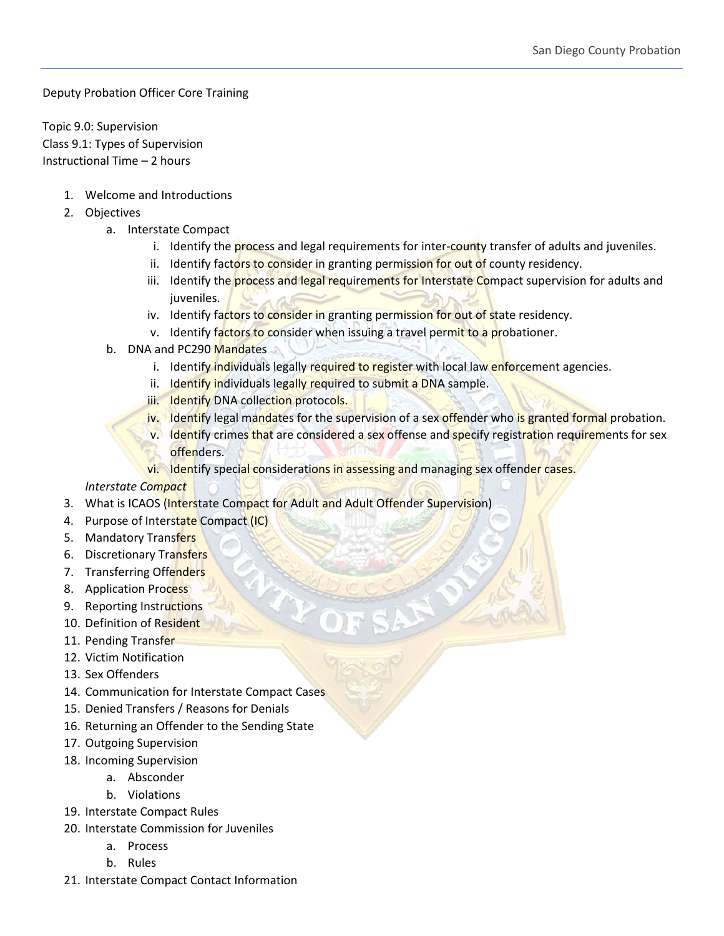Deputy Probation Officer Core Training

Topic 9.0: Supervision Class 9.1: Types of Supervision Instructional Time – 2 hours

- 1. Welcome and Introductions
- 2. Objectives
	- a. Interstate Compact
		- i. Identify the process and legal requirements for inter-county transfer of adults and juveniles.
		- ii. Identify factors to consider in granting permission for out of county residency.
		- iii. Identify the process and legal requirements for Interstate Compact supervision for adults and juveniles.
		- iv. Identify factors to consider in granting permission for out of state residency.
		- v. Identify factors to consider when issuing a travel permit to a probationer.
	- b. DNA and PC290 Mandates
		- i. Identify individuals legally required to register with local law enforcement agencies.
		- ii. Identify individuals legally required to submit a DNA sample.
		- iii. Identify DNA collection protocols.
		- iv. Identify legal mandates for the supervision of a sex offender who is granted formal probation.
		- v. Identify crimes that are considered a sex offense and specify registration requirements for sex offenders.
		- vi. Identify special considerations in assessing and managing sex offender cases.

*Interstate Compact*

- 3. What is ICAOS (Interstate Compact for Adult and Adult Offender Supervision)
- 4. Purpose of Interstate Compact (IC)
- 5. Mandatory Transfers
- 6. Discretionary Transfers
- 7. Transferring Offenders
- 8. Application Process
- 9. Reporting Instructions
- 10. Definition of Resident
- 11. Pending Transfer
- 12. Victim Notification
- 13. Sex Offenders
- 14. Communication for Interstate Compact Cases
- 15. Denied Transfers / Reasons for Denials
- 16. Returning an Offender to the Sending State
- 17. Outgoing Supervision
- 18. Incoming Supervision
	- a. Absconder
	- b. Violations
- 19. Interstate Compact Rules
- 20. Interstate Commission for Juveniles
	- a. Process
	- b. Rules
- 21. Interstate Compact Contact Information